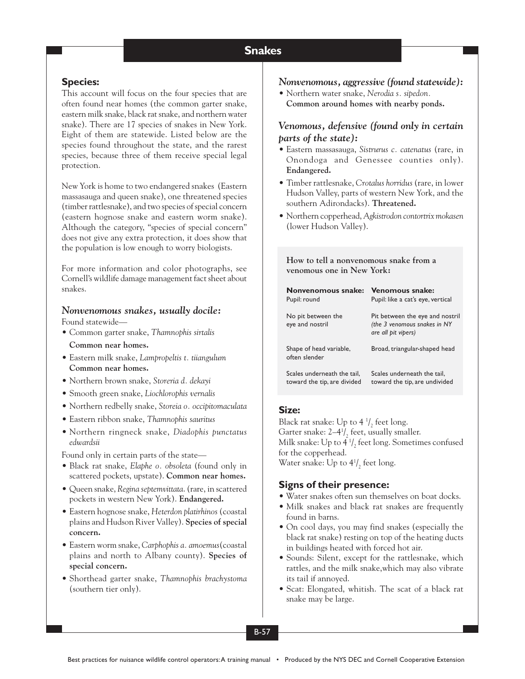#### **Snakes Snakes**

# **Species:**

This account will focus on the four species that are often found near homes (the common garter snake, eastern milk snake, black rat snake, and northern water snake). There are 17 species of snakes in New York. Eight of them are statewide. Listed below are the species found throughout the state, and the rarest species, because three of them receive special legal protection.

New York is home to two endangered snakes (Eastern massasauga and queen snake), one threatened species (timber rattlesnake), and two species of special concern (eastern hognose snake and eastern worm snake). Although the category, "species of special concern" does not give any extra protection, it does show that the population is low enough to worry biologists.

For more information and color photographs, see Cornell's wildlife damage management fact sheet about snakes.

# *Nonvenomous snakes, usually docile:*

Found statewide—

- Common garter snake, *Thamnophis sirtalis* **Common near homes.**
- Eastern milk snake, *Lampropeltis t. tiiangulum* **Common near homes.**
- Northern brown snake, *Storeria d. dekayi*
- Smooth green snake, *Liochlorophis vernalis*
- Northern redbelly snake, *Storeia o. occipitomaculata*
- Eastern ribbon snake, *Thamnophis sauritus*
- Northern ringneck snake, *Diadophis punctatus edwardsii*

Found only in certain parts of the state—

- Black rat snake, *Elaphe o. obsoleta* (found only in scattered pockets, upstate). **Common near homes.**
- Queen snake, *Regina septemvittata*. (rare, in scattered pockets in western New York). **Endangered.**
- Eastern hognose snake, *Heterdon platirhinos* (coastal plains and Hudson River Valley). **Species of special concern.**
- Eastern worm snake, *Carphophis a. amoemus*(coastal plains and north to Albany county). **Species of special concern.**
- Shorthead garter snake, *Thamnophis brachystoma* (southern tier only).

## *Nonvenomous, aggressive (found statewide):*

• Northern water snake, *Nerodia s. sipedon.* **Common around homes with nearby ponds.**

# *Venomous, defensive (found only in certain parts of the state):*

- Eastern massasauga, *Sistrurus c. catenatus* (rare, in Onondoga and Genessee counties only). **Endangered.**
- Timber rattlesnake, *Crotalus horridus* (rare, in lower Hudson Valley, parts of western New York, and the southern Adirondacks). **Threatened.**
- Northern copperhead, *Agkistrodon contortrix mokasen* (lower Hudson Valley).

**How to tell a nonvenomous snake from a venomous one in New York:**

| Nonvenomous snake:                       | <b>Venomous snake:</b>                                                                 |
|------------------------------------------|----------------------------------------------------------------------------------------|
| Pupil: round                             | Pupil: like a cat's eye, vertical                                                      |
| No pit between the<br>eye and nostril    | Pit between the eye and nostril<br>(the 3 venomous snakes in NY<br>are all pit vipers) |
| Shape of head variable,<br>often slender | Broad, triangular-shaped head                                                          |
| Scales underneath the tail,              | Scales underneath the tail,                                                            |
| toward the tip, are divided              | toward the tip, are undivided                                                          |

## **Size:**

Black rat snake: Up to 4  $\frac{1}{2}$  feet long. Garter snake:  $2-4^1/2$  feet, usually smaller. Milk snake: Up to 4  $\frac{1}{2}$  feet long. Sometimes confused for the copperhead. Water snake: Up to  $4^1/2$  feet long.

## **Signs of their presence:**

- Water snakes often sun themselves on boat docks.
- Milk snakes and black rat snakes are frequently found in barns.
- On cool days, you may find snakes (especially the black rat snake) resting on top of the heating ducts in buildings heated with forced hot air.
- Sounds: Silent, except for the rattlesnake, which rattles, and the milk snake,which may also vibrate its tail if annoyed.
- Scat: Elongated, whitish. The scat of a black rat snake may be large.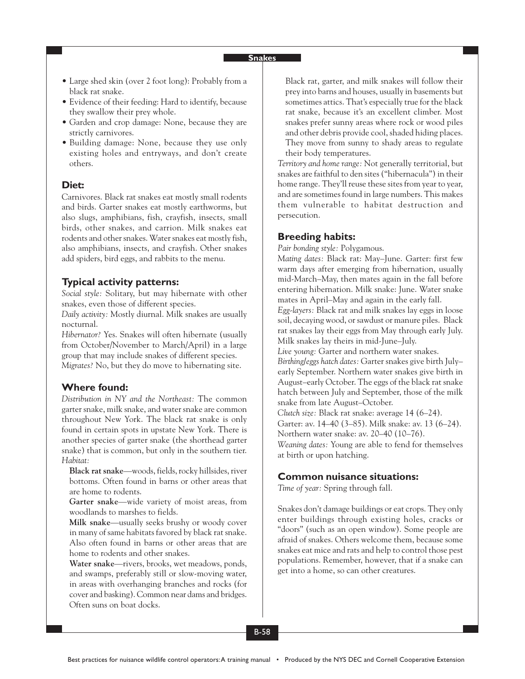## **Snakes**

- Large shed skin (over 2 foot long): Probably from a black rat snake.
- Evidence of their feeding: Hard to identify, because they swallow their prey whole.
- Garden and crop damage: None, because they are strictly carnivores.
- Building damage: None, because they use only existing holes and entryways, and don't create others.

### **Diet:**

Carnivores. Black rat snakes eat mostly small rodents and birds. Garter snakes eat mostly earthworms, but also slugs, amphibians, fish, crayfish, insects, small birds, other snakes, and carrion. Milk snakes eat rodents and other snakes. Water snakes eat mostly fish, also amphibians, insects, and crayfish. Other snakes add spiders, bird eggs, and rabbits to the menu.

## **Typical activity patterns:**

*Social style:* Solitary, but may hibernate with other snakes, even those of different species.

*Daily activity:* Mostly diurnal. Milk snakes are usually nocturnal.

*Hibernator?* Yes. Snakes will often hibernate (usually from October/November to March/April) in a large group that may include snakes of different species. *Migrates?* No, but they do move to hibernating site.

## **Where found:**

*Distribution in NY and the Northeast:* The common garter snake, milk snake, and water snake are common throughout New York. The black rat snake is only found in certain spots in upstate New York. There is another species of garter snake (the shorthead garter snake) that is common, but only in the southern tier. *Habitat:*

**Black rat snake**—woods, fields, rocky hillsides, river bottoms. Often found in barns or other areas that are home to rodents.

**Garter snake**—wide variety of moist areas, from woodlands to marshes to fields.

**Milk snake**—usually seeks brushy or woody cover in many of same habitats favored by black rat snake. Also often found in barns or other areas that are home to rodents and other snakes.

**Water snake**—rivers, brooks, wet meadows, ponds, and swamps, preferably still or slow-moving water, in areas with overhanging branches and rocks (for cover and basking). Common near dams and bridges. Often suns on boat docks.

Black rat, garter, and milk snakes will follow their prey into barns and houses, usually in basements but sometimes attics. That's especially true for the black rat snake, because it's an excellent climber. Most snakes prefer sunny areas where rock or wood piles and other debris provide cool, shaded hiding places. They move from sunny to shady areas to regulate their body temperatures.

*Territory and home range:* Not generally territorial, but snakes are faithful to den sites ("hibernacula") in their home range. They'll reuse these sites from year to year, and are sometimes found in large numbers. This makes them vulnerable to habitat destruction and persecution.

### **Breeding habits:**

*Pair bonding style:* Polygamous.

*Mating dates:* Black rat: May–June. Garter: first few warm days after emerging from hibernation, usually mid-March–May, then mates again in the fall before entering hibernation. Milk snake: June. Water snake mates in April–May and again in the early fall.

*Egg-layers:* Black rat and milk snakes lay eggs in loose soil, decaying wood, or sawdust or manure piles. Black rat snakes lay their eggs from May through early July. Milk snakes lay theirs in mid-June–July.

*Live young:* Garter and northern water snakes. *Birthing/eggs hatch dates:* Garter snakes give birth July– early September. Northern water snakes give birth in August–early October. The eggs of the black rat snake hatch between July and September, those of the milk snake from late August–October.

*Clutch size:* Black rat snake: average 14 (6–24). Garter: av. 14–40 (3–85). Milk snake: av. 13 (6–24). Northern water snake: av. 20–40 (10–76).

*Weaning dates:* Young are able to fend for themselves at birth or upon hatching.

# **Common nuisance situations:**

*Time of year:* Spring through fall.

Snakes don't damage buildings or eat crops. They only enter buildings through existing holes, cracks or "doors" (such as an open window). Some people are afraid of snakes. Others welcome them, because some snakes eat mice and rats and help to control those pest populations. Remember, however, that if a snake can get into a home, so can other creatures.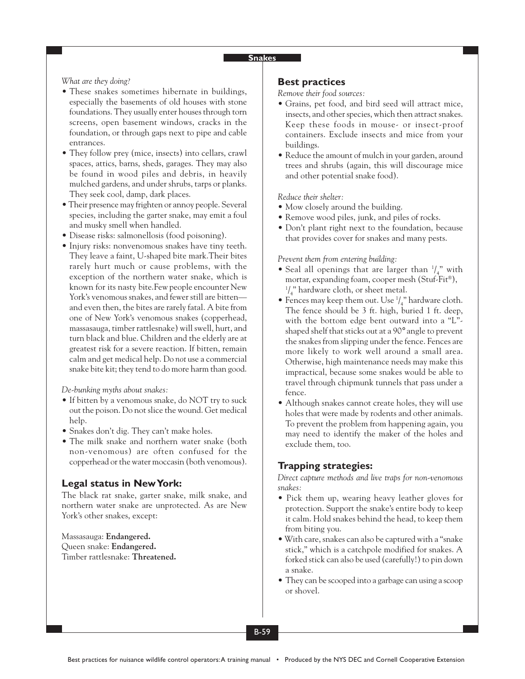### **Snakes**

*What are they doing?*

- These snakes sometimes hibernate in buildings, especially the basements of old houses with stone foundations. They usually enter houses through torn screens, open basement windows, cracks in the foundation, or through gaps next to pipe and cable entrances.
- They follow prey (mice, insects) into cellars, crawl spaces, attics, barns, sheds, garages. They may also be found in wood piles and debris, in heavily mulched gardens, and under shrubs, tarps or planks. They seek cool, damp, dark places.
- Their presence may frighten or annoy people. Several species, including the garter snake, may emit a foul and musky smell when handled.
- Disease risks: salmonellosis (food poisoning).
- Injury risks: nonvenomous snakes have tiny teeth. They leave a faint, U-shaped bite mark.Their bites rarely hurt much or cause problems, with the exception of the northern water snake, which is known for its nasty bite.Few people encounter New York's venomous snakes, and fewer still are bitten and even then, the bites are rarely fatal. A bite from one of New York's venomous snakes (copperhead, massasauga, timber rattlesnake) will swell, hurt, and turn black and blue. Children and the elderly are at greatest risk for a severe reaction. If bitten, remain calm and get medical help. Do *not* use a commercial snake bite kit; they tend to do more harm than good.

*De-bunking myths about snakes:*

- If bitten by a venomous snake, do NOT try to suck out the poison. Do not slice the wound. Get medical help.
- Snakes don't dig. They can't make holes.
- The milk snake and northern water snake (both) non-venomous) are often confused for the copperhead or the water moccasin (both venomous).

## **Legal status in New York:**

The black rat snake, garter snake, milk snake, and northern water snake are unprotected. As are New York's other snakes, except:

Massasauga: **Endangered.** Queen snake: **Endangered.** Timber rattlesnake: **Threatened.**

## **Best practices**

*Remove their food sources:*

- Grains, pet food, and bird seed will attract mice, insects, and other species, which then attract snakes. Keep these foods in mouse- or insect-proof containers. Exclude insects and mice from your buildings.
- Reduce the amount of mulch in your garden, around trees and shrubs (again, this will discourage mice and other potential snake food).

#### *Reduce their shelter:*

- Mow closely around the building.
- Remove wood piles, junk, and piles of rocks.
- Don't plant right next to the foundation, because that provides cover for snakes and many pests.

### *Prevent them from entering building:*

- Seal all openings that are larger than  $\frac{1}{4}$  with mortar, expanding foam, cooper mesh (Stuf-Fit®), 1 / 4 " hardware cloth, or sheet metal.
- Fences may keep them out. Use  $\frac{1}{4}$ " hardware cloth. The fence should be 3 ft. high, buried 1 ft. deep, with the bottom edge bent outward into a "L" shaped shelf that sticks out at a 90° angle to prevent the snakes from slipping under the fence. Fences are more likely to work well around a small area. Otherwise, high maintenance needs may make this impractical, because some snakes would be able to travel through chipmunk tunnels that pass under a fence.
- Although snakes cannot create holes, they will use holes that were made by rodents and other animals. To prevent the problem from happening again, you may need to identify the maker of the holes and exclude them, too.

## **Trapping strategies:**

*Direct capture methods and live traps for non-venomous snakes:*

- Pick them up, wearing heavy leather gloves for protection. Support the snake's entire body to keep it calm. Hold snakes behind the head, to keep them from biting you.
- With care, snakes can also be captured with a "snake stick," which is a catchpole modified for snakes. A forked stick can also be used (carefully!) to pin down a snake.
- They can be scooped into a garbage can using a scoop or shovel.